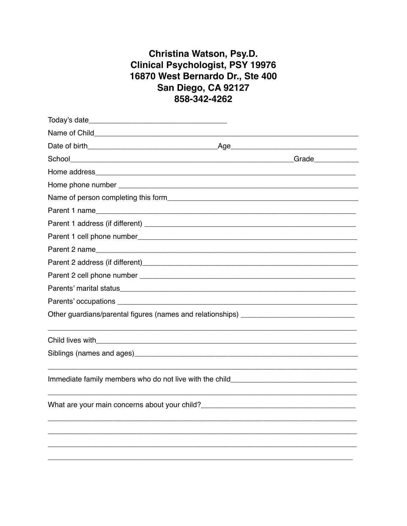## Christina Watson, Psy.D. Clinical Psychologist, PSY 19976 16870 West Bernardo Dr., Ste 400 San Diego, CA 92127 858-342-4262

| Parent 2 name                                                                     |
|-----------------------------------------------------------------------------------|
|                                                                                   |
|                                                                                   |
|                                                                                   |
|                                                                                   |
|                                                                                   |
|                                                                                   |
|                                                                                   |
| Immediate family members who do not live with the child__________________________ |
| What are your main concerns about your child?___________________________________  |
|                                                                                   |
|                                                                                   |
|                                                                                   |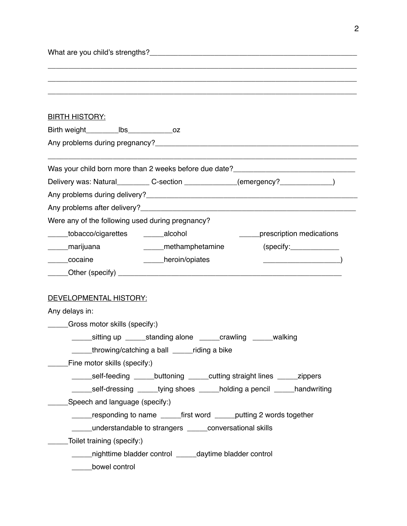| What are you child's strengths? |  |
|---------------------------------|--|
|                                 |  |

| <b>BIRTH HISTORY:</b>                                                             |
|-----------------------------------------------------------------------------------|
| Birth weight________________bs__________________oz                                |
|                                                                                   |
| Was your child born more than 2 weeks before due date?__________________________  |
| Delivery was: Natural___________ C-section _____________(emergency?_____________) |
|                                                                                   |
|                                                                                   |
| Were any of the following used during pregnancy?                                  |
| ____tobacco/cigarettes ______alcohol<br>______prescription medications            |
| _____marijuana<br>_____methamphetamine<br>(specify:                               |
| _____cocaine<br>____heroin/opiates                                                |
|                                                                                   |
|                                                                                   |
| <b>DEVELOPMENTAL HISTORY:</b>                                                     |
| Any delays in:                                                                    |
| Gross motor skills (specify:)                                                     |
| _____sitting up _____standing alone _____crawling _____walking                    |
| ____throwing/catching a ball _____riding a bike                                   |
| Fine motor skills (specify:)                                                      |
| _____self-feeding _____buttoning _____cutting straight lines _____zippers         |
| ______self-dressing ______tying shoes ______holding a pencil _____handwriting     |
| Speech and language (specify:)                                                    |
| responding to name _______ first word ______ putting 2 words together             |
| understandable to strangers conversational skills                                 |
| Toilet training (specify:)                                                        |
| nighttime bladder control _____daytime bladder control                            |
| bowel control                                                                     |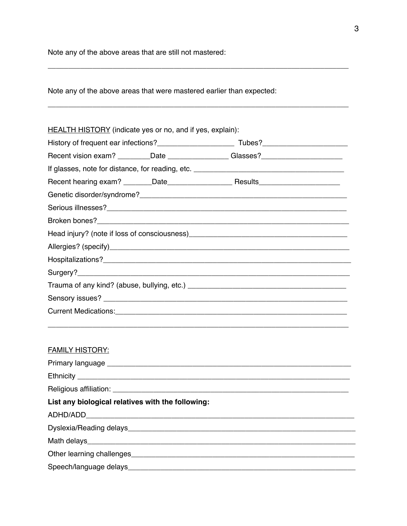Note any of the above areas that are still not mastered:

Note any of the above areas that were mastered earlier than expected:

| <b>HEALTH HISTORY</b> (indicate yes or no, and if yes, explain): |  |                                                                                                                                                                                                                               |  |  |
|------------------------------------------------------------------|--|-------------------------------------------------------------------------------------------------------------------------------------------------------------------------------------------------------------------------------|--|--|
|                                                                  |  |                                                                                                                                                                                                                               |  |  |
|                                                                  |  | Recent vision exam? _________Date __________________Glasses?_____________________                                                                                                                                             |  |  |
|                                                                  |  |                                                                                                                                                                                                                               |  |  |
|                                                                  |  |                                                                                                                                                                                                                               |  |  |
|                                                                  |  |                                                                                                                                                                                                                               |  |  |
|                                                                  |  |                                                                                                                                                                                                                               |  |  |
|                                                                  |  |                                                                                                                                                                                                                               |  |  |
|                                                                  |  |                                                                                                                                                                                                                               |  |  |
|                                                                  |  |                                                                                                                                                                                                                               |  |  |
|                                                                  |  |                                                                                                                                                                                                                               |  |  |
|                                                                  |  |                                                                                                                                                                                                                               |  |  |
|                                                                  |  |                                                                                                                                                                                                                               |  |  |
|                                                                  |  |                                                                                                                                                                                                                               |  |  |
|                                                                  |  | Current Medications: Lease and Contract and Contract and Contract and Contract and Contract and Contract and Contract and Contract and Contract and Contract and Contract and Contract and Contract and Contract and Contract |  |  |
|                                                                  |  |                                                                                                                                                                                                                               |  |  |
|                                                                  |  |                                                                                                                                                                                                                               |  |  |
| <b>FAMILY HISTORY:</b>                                           |  |                                                                                                                                                                                                                               |  |  |
|                                                                  |  |                                                                                                                                                                                                                               |  |  |
|                                                                  |  |                                                                                                                                                                                                                               |  |  |
|                                                                  |  |                                                                                                                                                                                                                               |  |  |
| List any biological relatives with the following:                |  |                                                                                                                                                                                                                               |  |  |
|                                                                  |  |                                                                                                                                                                                                                               |  |  |
|                                                                  |  |                                                                                                                                                                                                                               |  |  |
| Math delays                                                      |  |                                                                                                                                                                                                                               |  |  |

\_\_\_\_\_\_\_\_\_\_\_\_\_\_\_\_\_\_\_\_\_\_\_\_\_\_\_\_\_\_\_\_\_\_\_\_\_\_\_\_\_\_\_\_\_\_\_\_\_\_\_\_\_\_\_\_\_\_\_\_\_\_\_\_\_\_\_\_\_\_\_\_\_\_

Other learning challenges\_\_\_\_\_\_\_\_\_\_\_\_\_\_\_\_\_\_\_\_\_\_\_\_\_\_\_\_\_\_\_\_\_\_\_\_\_\_\_\_\_\_\_\_\_\_\_\_\_\_\_\_\_\_\_

Speech/language delays\_\_\_\_\_\_\_\_\_\_\_\_\_\_\_\_\_\_\_\_\_\_\_\_\_\_\_\_\_\_\_\_\_\_\_\_\_\_\_\_\_\_\_\_\_\_\_\_\_\_\_\_\_\_\_\_

\_\_\_\_\_\_\_\_\_\_\_\_\_\_\_\_\_\_\_\_\_\_\_\_\_\_\_\_\_\_\_\_\_\_\_\_\_\_\_\_\_\_\_\_\_\_\_\_\_\_\_\_\_\_\_\_\_\_\_\_\_\_\_\_\_\_\_\_\_\_\_\_\_\_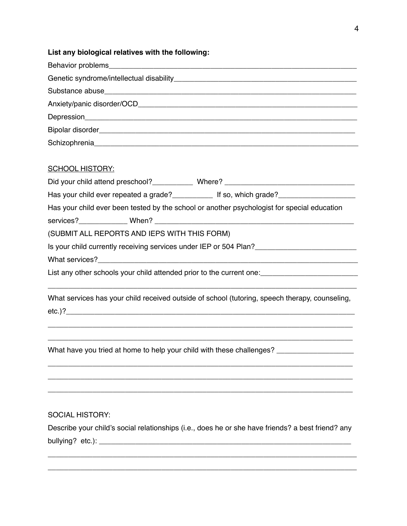## **List any biological relatives with the following:**

| <b>SCHOOL HISTORY:</b>                                                                               |  |  |  |  |
|------------------------------------------------------------------------------------------------------|--|--|--|--|
|                                                                                                      |  |  |  |  |
| Has your child ever repeated a grade?______________ If so, which grade?_____________________________ |  |  |  |  |
| Has your child ever been tested by the school or another psychologist for special education          |  |  |  |  |
|                                                                                                      |  |  |  |  |
| (SUBMIT ALL REPORTS AND IEPS WITH THIS FORM)                                                         |  |  |  |  |
| Is your child currently receiving services under IEP or 504 Plan?__________________________________  |  |  |  |  |
|                                                                                                      |  |  |  |  |
|                                                                                                      |  |  |  |  |
|                                                                                                      |  |  |  |  |
| What services has your child received outside of school (tutoring, speech therapy, counseling,       |  |  |  |  |
| etc.)?                                                                                               |  |  |  |  |
|                                                                                                      |  |  |  |  |
|                                                                                                      |  |  |  |  |
| What have you tried at home to help your child with these challenges?                                |  |  |  |  |
|                                                                                                      |  |  |  |  |
|                                                                                                      |  |  |  |  |
|                                                                                                      |  |  |  |  |
|                                                                                                      |  |  |  |  |

## SOCIAL HISTORY:

Describe your child's social relationships (i.e., does he or she have friends? a best friend? any bullying? etc.): \_\_\_\_\_\_\_\_\_\_\_\_\_\_\_\_\_\_\_\_\_\_\_\_\_\_\_\_\_\_\_\_\_\_\_\_\_\_\_\_\_\_\_\_\_\_\_\_\_\_\_\_\_\_\_\_\_\_\_\_\_\_

\_\_\_\_\_\_\_\_\_\_\_\_\_\_\_\_\_\_\_\_\_\_\_\_\_\_\_\_\_\_\_\_\_\_\_\_\_\_\_\_\_\_\_\_\_\_\_\_\_\_\_\_\_\_\_\_\_\_\_\_\_\_\_\_\_\_\_\_\_\_\_\_\_\_\_\_ \_\_\_\_\_\_\_\_\_\_\_\_\_\_\_\_\_\_\_\_\_\_\_\_\_\_\_\_\_\_\_\_\_\_\_\_\_\_\_\_\_\_\_\_\_\_\_\_\_\_\_\_\_\_\_\_\_\_\_\_\_\_\_\_\_\_\_\_\_\_\_\_\_\_\_\_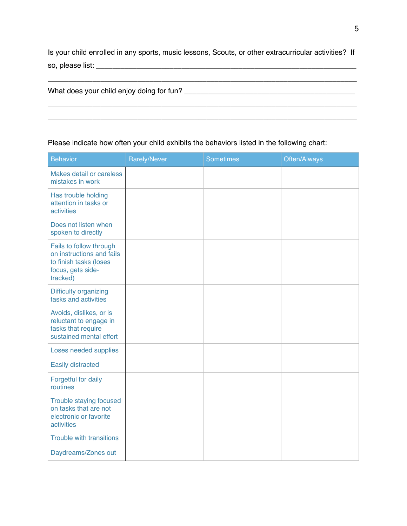Is your child enrolled in any sports, music lessons, Scouts, or other extracurricular activities? If so, please list: \_\_\_\_\_\_\_\_\_\_\_\_\_\_\_\_\_\_\_\_\_\_\_\_\_\_\_\_\_\_\_\_\_\_\_\_\_\_\_\_\_\_\_\_\_\_\_\_\_\_\_\_\_\_\_\_\_\_\_\_\_\_\_\_

\_\_\_\_\_\_\_\_\_\_\_\_\_\_\_\_\_\_\_\_\_\_\_\_\_\_\_\_\_\_\_\_\_\_\_\_\_\_\_\_\_\_\_\_\_\_\_\_\_\_\_\_\_\_\_\_\_\_\_\_\_\_\_\_\_\_\_\_\_\_\_\_\_\_\_\_

\_\_\_\_\_\_\_\_\_\_\_\_\_\_\_\_\_\_\_\_\_\_\_\_\_\_\_\_\_\_\_\_\_\_\_\_\_\_\_\_\_\_\_\_\_\_\_\_\_\_\_\_\_\_\_\_\_\_\_\_\_\_\_\_\_\_\_\_\_\_\_\_\_\_\_\_ \_\_\_\_\_\_\_\_\_\_\_\_\_\_\_\_\_\_\_\_\_\_\_\_\_\_\_\_\_\_\_\_\_\_\_\_\_\_\_\_\_\_\_\_\_\_\_\_\_\_\_\_\_\_\_\_\_\_\_\_\_\_\_\_\_\_\_\_\_\_\_\_\_\_\_\_

| What does your child enjoy doing for fun? |  |
|-------------------------------------------|--|
|-------------------------------------------|--|

## Please indicate how often your child exhibits the behaviors listed in the following chart:

| <b>Behavior</b>                                                                                                 | <b>Rarely/Never</b> | <b>Sometimes</b> | Often/Always |
|-----------------------------------------------------------------------------------------------------------------|---------------------|------------------|--------------|
| Makes detail or careless<br>mistakes in work                                                                    |                     |                  |              |
| Has trouble holding<br>attention in tasks or<br>activities                                                      |                     |                  |              |
| Does not listen when<br>spoken to directly                                                                      |                     |                  |              |
| Fails to follow through<br>on instructions and fails<br>to finish tasks (loses<br>focus, gets side-<br>tracked) |                     |                  |              |
| <b>Difficulty organizing</b><br>tasks and activities                                                            |                     |                  |              |
| Avoids, dislikes, or is<br>reluctant to engage in<br>tasks that require<br>sustained mental effort              |                     |                  |              |
| Loses needed supplies                                                                                           |                     |                  |              |
| Easily distracted                                                                                               |                     |                  |              |
| Forgetful for daily<br>routines                                                                                 |                     |                  |              |
| Trouble staying focused<br>on tasks that are not<br>electronic or favorite<br>activities                        |                     |                  |              |
| <b>Trouble with transitions</b>                                                                                 |                     |                  |              |
| Daydreams/Zones out                                                                                             |                     |                  |              |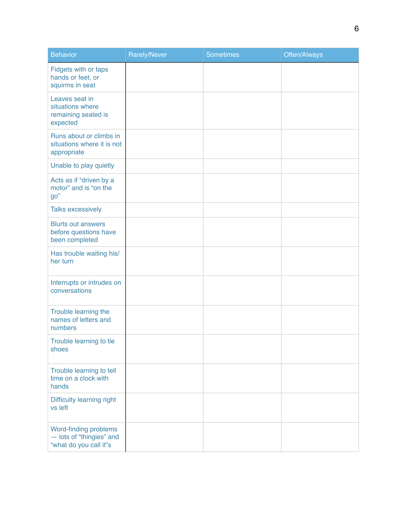| <b>Behavior</b>                                                             | <b>Rarely/Never</b> | Sometimes | Often/Always |
|-----------------------------------------------------------------------------|---------------------|-----------|--------------|
| Fidgets with or taps<br>hands or feet, or<br>squirms in seat                |                     |           |              |
| Leaves seat in<br>situations where<br>remaining seated is<br>expected       |                     |           |              |
| Runs about or climbs in<br>situations where it is not<br>appropriate        |                     |           |              |
| Unable to play quietly                                                      |                     |           |              |
| Acts as if "driven by a<br>motor" and is "on the<br>90"                     |                     |           |              |
| <b>Talks excessively</b>                                                    |                     |           |              |
| <b>Blurts out answers</b><br>before questions have<br>been completed        |                     |           |              |
| Has trouble waiting his/<br>her turn                                        |                     |           |              |
| Interrupts or intrudes on<br>conversations                                  |                     |           |              |
| Trouble learning the<br>names of letters and<br>numbers                     |                     |           |              |
| Trouble learning to tie<br>shoes                                            |                     |           |              |
| Trouble learning to tell<br>time on a clock with<br>hands                   |                     |           |              |
| Difficulty learning right<br>vs left                                        |                     |           |              |
| Word-finding problems<br>- lots of "thingies" and<br>"what do you call it"s |                     |           |              |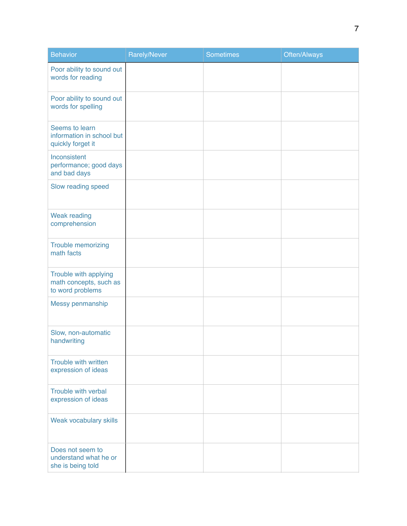| <b>Behavior</b>                                                     | Rarely/Never | Sometimes | Often/Always |
|---------------------------------------------------------------------|--------------|-----------|--------------|
| Poor ability to sound out<br>words for reading                      |              |           |              |
| Poor ability to sound out<br>words for spelling                     |              |           |              |
| Seems to learn<br>information in school but<br>quickly forget it    |              |           |              |
| Inconsistent<br>performance; good days<br>and bad days              |              |           |              |
| Slow reading speed                                                  |              |           |              |
| <b>Weak reading</b><br>comprehension                                |              |           |              |
| Trouble memorizing<br>math facts                                    |              |           |              |
| Trouble with applying<br>math concepts, such as<br>to word problems |              |           |              |
| Messy penmanship                                                    |              |           |              |
| Slow, non-automatic<br>handwriting                                  |              |           |              |
| Trouble with written<br>expression of ideas                         |              |           |              |
| Trouble with verbal<br>expression of ideas                          |              |           |              |
| Weak vocabulary skills                                              |              |           |              |
| Does not seem to<br>understand what he or<br>she is being told      |              |           |              |